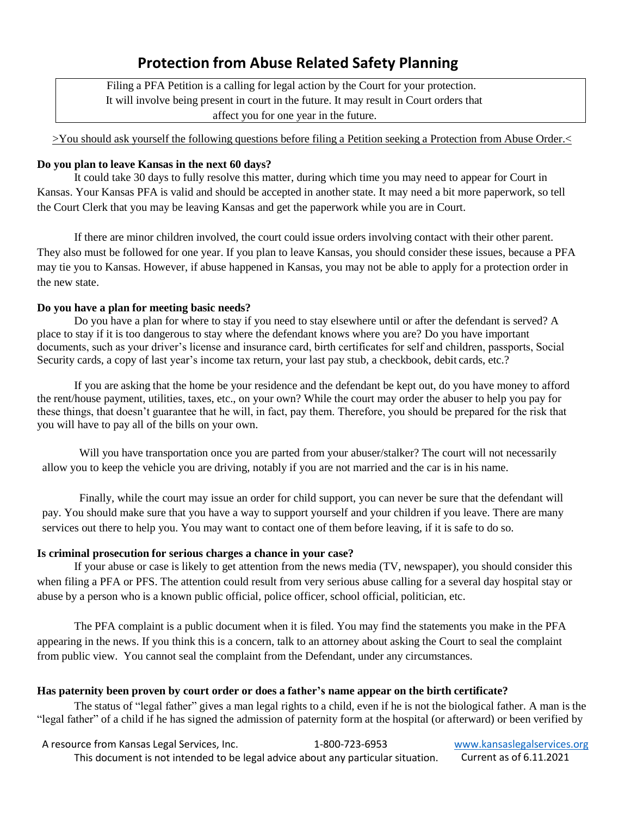# **Protection from Abuse Related Safety Planning**

Filing a PFA Petition is a calling for legal action by the Court for your protection. It will involve being present in court in the future. It may result in Court orders that affect you for one year in the future.

>You should ask yourself the following questions before filing a Petition seeking a Protection from Abuse Order.

#### **Do you plan to leave Kansas in the next 60 days?**

It could take 30 days to fully resolve this matter, during which time you may need to appear for Court in Kansas. Your Kansas PFA is valid and should be accepted in another state. It may need a bit more paperwork, so tell the Court Clerk that you may be leaving Kansas and get the paperwork while you are in Court.

If there are minor children involved, the court could issue orders involving contact with their other parent. They also must be followed for one year. If you plan to leave Kansas, you should consider these issues, because a PFA may tie you to Kansas. However, if abuse happened in Kansas, you may not be able to apply for a protection order in the new state.

#### **Do you have a plan for meeting basic needs?**

Do you have a plan for where to stay if you need to stay elsewhere until or after the defendant is served? A place to stay if it is too dangerous to stay where the defendant knows where you are? Do you have important documents, such as your driver's license and insurance card, birth certificates for self and children, passports, Social Security cards, a copy of last year's income tax return, your last pay stub, a checkbook, debit cards, etc.?

If you are asking that the home be your residence and the defendant be kept out, do you have money to afford the rent/house payment, utilities, taxes, etc., on your own? While the court may order the abuser to help you pay for these things, that doesn't guarantee that he will, in fact, pay them. Therefore, you should be prepared for the risk that you will have to pay all of the bills on your own.

Will you have transportation once you are parted from your abuser/stalker? The court will not necessarily allow you to keep the vehicle you are driving, notably if you are not married and the car is in his name.

Finally, while the court may issue an order for child support, you can never be sure that the defendant will pay. You should make sure that you have a way to support yourself and your children if you leave. There are many services out there to help you. You may want to contact one of them before leaving, if it is safe to do so.

#### **Is criminal prosecution for serious charges a chance in your case?**

If your abuse or case is likely to get attention from the news media (TV, newspaper), you should consider this when filing a PFA or PFS. The attention could result from very serious abuse calling for a several day hospital stay or abuse by a person who is a known public official, police officer, school official, politician, etc.

The PFA complaint is a public document when it is filed. You may find the statements you make in the PFA appearing in the news. If you think this is a concern, talk to an attorney about asking the Court to seal the complaint from public view. You cannot seal the complaint from the Defendant, under any circumstances.

### **Has paternity been proven by court order or does a father's name appear on the birth certificate?**

The status of "legal father" gives a man legal rights to a child, even if he is not the biological father. A man is the "legal father" of a child if he has signed the admission of paternity form at the hospital (or afterward) or been verified by

A resource from Kansas Legal Services, Inc. 1-800-723-6953 [www.kansaslegalservices.org](http://www.kansaslegalservices.org/) This document is not intended to be legal advice about any particular situation. Current as of 6.11.2021